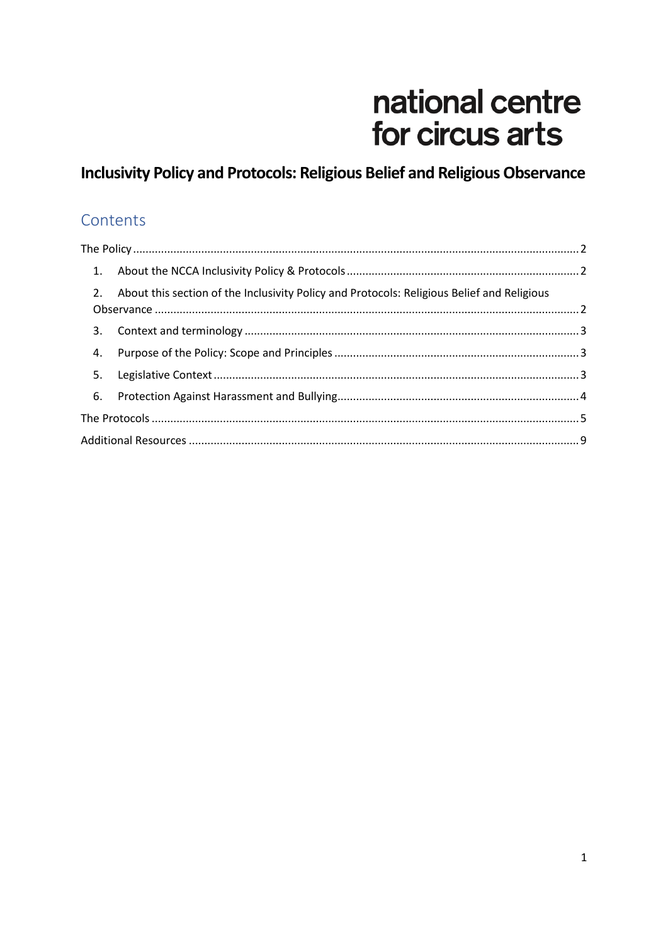# national centre for circus arts

# Inclusivity Policy and Protocols: Religious Belief and Religious Observance

# Contents

|    | 2. About this section of the Inclusivity Policy and Protocols: Religious Belief and Religious |  |  |
|----|-----------------------------------------------------------------------------------------------|--|--|
|    |                                                                                               |  |  |
| 4. |                                                                                               |  |  |
|    |                                                                                               |  |  |
|    |                                                                                               |  |  |
|    |                                                                                               |  |  |
|    |                                                                                               |  |  |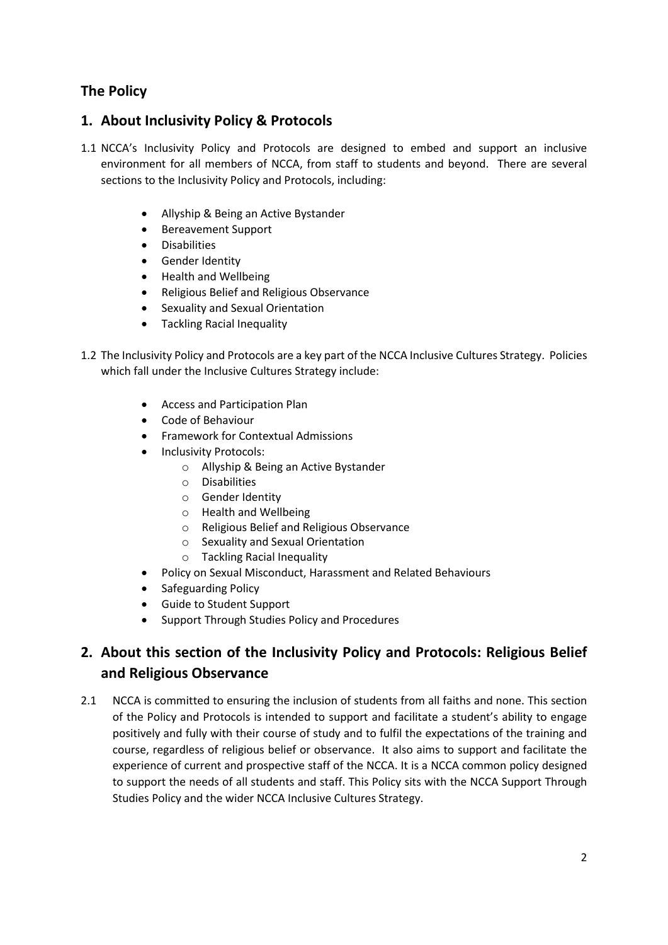## <span id="page-1-0"></span>**The Policy**

#### <span id="page-1-1"></span>**1. About Inclusivity Policy & Protocols**

- 1.1 NCCA's Inclusivity Policy and Protocols are designed to embed and support an inclusive environment for all members of NCCA, from staff to students and beyond. There are several sections to the Inclusivity Policy and Protocols, including:
	- Allyship & Being an Active Bystander
	- Bereavement Support
	- Disabilities
	- **•** Gender Identity
	- Health and Wellbeing
	- Religious Belief and Religious Observance
	- Sexuality and Sexual Orientation
	- Tackling Racial Inequality
- 1.2 The Inclusivity Policy and Protocols are a key part of the NCCA Inclusive Cultures Strategy. Policies which fall under the Inclusive Cultures Strategy include:
	- Access and Participation Plan
	- Code of Behaviour
	- **•** Framework for Contextual Admissions
	- Inclusivity Protocols:
		- o Allyship & Being an Active Bystander
			- o Disabilities
			- o Gender Identity
			- o Health and Wellbeing
			- o Religious Belief and Religious Observance
			- o Sexuality and Sexual Orientation
			- o Tackling Racial Inequality
	- Policy on Sexual Misconduct, Harassment and Related Behaviours
	- Safeguarding Policy
	- Guide to Student Support
	- Support Through Studies Policy and Procedures

# <span id="page-1-2"></span>**2. About this section of the Inclusivity Policy and Protocols: Religious Belief and Religious Observance**

2.1 NCCA is committed to ensuring the inclusion of students from all faiths and none. This section of the Policy and Protocols is intended to support and facilitate a student's ability to engage positively and fully with their course of study and to fulfil the expectations of the training and course, regardless of religious belief or observance. It also aims to support and facilitate the experience of current and prospective staff of the NCCA. It is a NCCA common policy designed to support the needs of all students and staff. This Policy sits with the NCCA Support Through Studies Policy and the wider NCCA Inclusive Cultures Strategy.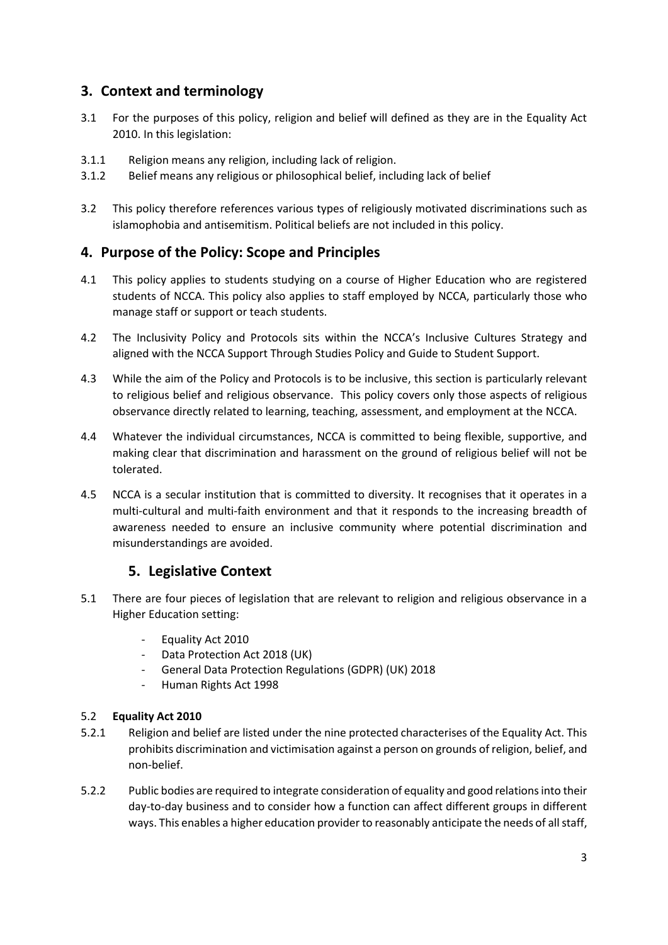### <span id="page-2-0"></span>**3. Context and terminology**

- 3.1 For the purposes of this policy, religion and belief will defined as they are in the Equality Act 2010. In this legislation:
- 3.1.1 Religion means any religion, including lack of religion.
- 3.1.2 Belief means any religious or philosophical belief, including lack of belief
- 3.2 This policy therefore references various types of religiously motivated discriminations such as islamophobia and antisemitism. Political beliefs are not included in this policy.

#### <span id="page-2-1"></span>**4. Purpose of the Policy: Scope and Principles**

- 4.1 This policy applies to students studying on a course of Higher Education who are registered students of NCCA. This policy also applies to staff employed by NCCA, particularly those who manage staff or support or teach students.
- 4.2 The Inclusivity Policy and Protocols sits within the NCCA's Inclusive Cultures Strategy and aligned with the NCCA Support Through Studies Policy and Guide to Student Support.
- 4.3 While the aim of the Policy and Protocols is to be inclusive, this section is particularly relevant to religious belief and religious observance. This policy covers only those aspects of religious observance directly related to learning, teaching, assessment, and employment at the NCCA.
- 4.4 Whatever the individual circumstances, NCCA is committed to being flexible, supportive, and making clear that discrimination and harassment on the ground of religious belief will not be tolerated.
- 4.5 NCCA is a secular institution that is committed to diversity. It recognises that it operates in a multi-cultural and multi-faith environment and that it responds to the increasing breadth of awareness needed to ensure an inclusive community where potential discrimination and misunderstandings are avoided.

#### **5. Legislative Context**

- <span id="page-2-2"></span>5.1 There are four pieces of legislation that are relevant to religion and religious observance in a Higher Education setting:
	- Equality Act 2010
	- Data Protection Act 2018 (UK)
	- General Data Protection Regulations (GDPR) (UK) 2018
	- Human Rights Act 1998

#### 5.2 **Equality Act 2010**

- 5.2.1 Religion and belief are listed under the nine protected characterises of the Equality Act. This prohibits discrimination and victimisation against a person on grounds of religion, belief, and non-belief.
- 5.2.2 Public bodies are required to integrate consideration of equality and good relations into their day-to-day business and to consider how a function can affect different groups in different ways. This enables a higher education provider to reasonably anticipate the needs of allstaff,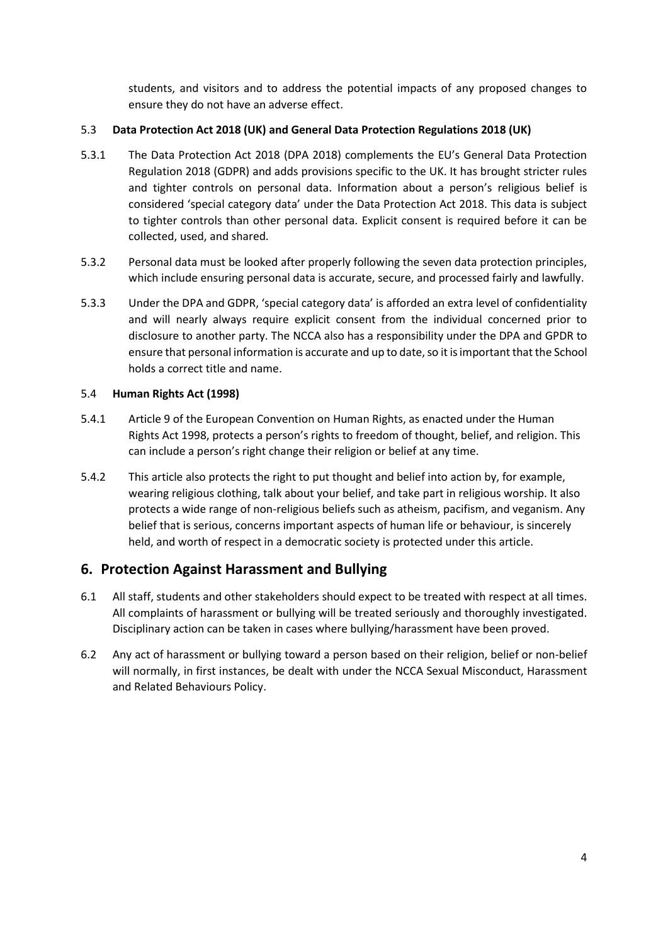students, and visitors and to address the potential impacts of any proposed changes to ensure they do not have an adverse effect.

#### 5.3 **Data Protection Act 2018 (UK) and General Data Protection Regulations 2018 (UK)**

- 5.3.1 The Data Protection Act 2018 (DPA 2018) complements the EU's General Data Protection Regulation 2018 (GDPR) and adds provisions specific to the UK. It has brought stricter rules and tighter controls on personal data. Information about a person's religious belief is considered 'special category data' under the Data Protection Act 2018. This data is subject to tighter controls than other personal data. Explicit consent is required before it can be collected, used, and shared.
- 5.3.2 Personal data must be looked after properly following the seven data protection principles, which include ensuring personal data is accurate, secure, and processed fairly and lawfully.
- 5.3.3 Under the DPA and GDPR, 'special category data' is afforded an extra level of confidentiality and will nearly always require explicit consent from the individual concerned prior to disclosure to another party. The NCCA also has a responsibility under the DPA and GPDR to ensure that personal information is accurate and up to date, so it is important that the School holds a correct title and name.

#### 5.4 **Human Rights Act (1998)**

- 5.4.1 Article 9 of the European Convention on Human Rights, as enacted under the Human Rights Act 1998, protects a person's rights to freedom of thought, belief, and religion. This can include a person's right change their religion or belief at any time.
- 5.4.2 This article also protects the right to put thought and belief into action by, for example, wearing religious clothing, talk about your belief, and take part in religious worship. It also protects a wide range of non-religious beliefs such as atheism, pacifism, and veganism. Any belief that is serious, concerns important aspects of human life or behaviour, is sincerely held, and worth of respect in a democratic society is protected under this article.

#### <span id="page-3-0"></span>**6. Protection Against Harassment and Bullying**

- 6.1 All staff, students and other stakeholders should expect to be treated with respect at all times. All complaints of harassment or bullying will be treated seriously and thoroughly investigated. Disciplinary action can be taken in cases where bullying/harassment have been proved.
- 6.2 Any act of harassment or bullying toward a person based on their religion, belief or non-belief will normally, in first instances, be dealt with under the NCCA Sexual Misconduct, Harassment and Related Behaviours Policy.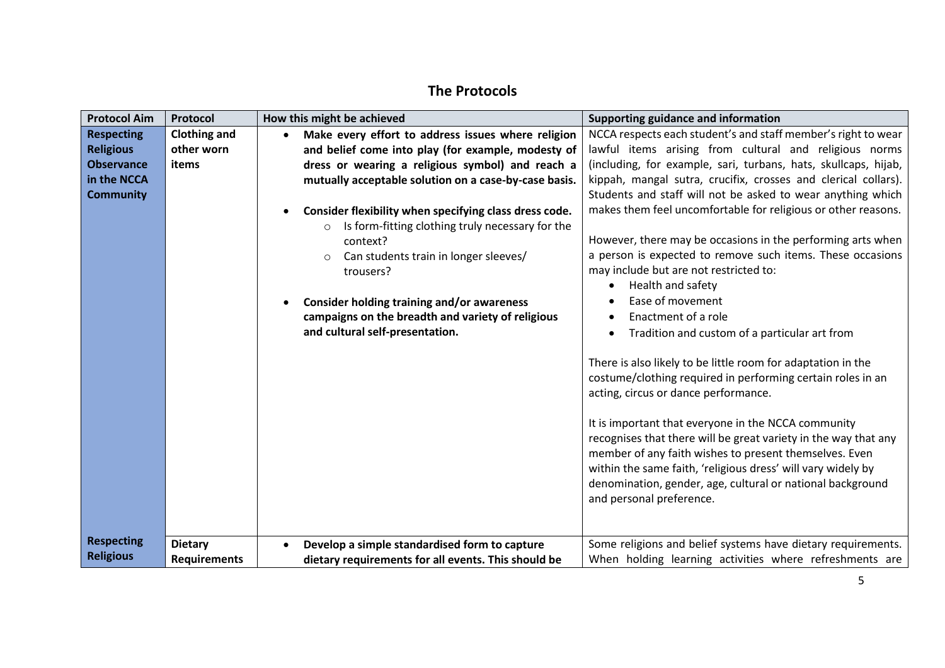# **The Protocols**

<span id="page-4-0"></span>

| <b>Protocol Aim</b> | Protocol            | How this might be achieved                                      | Supporting guidance and information                                                                                                                                                                                                                                                                                                                                                                                                                                                                               |
|---------------------|---------------------|-----------------------------------------------------------------|-------------------------------------------------------------------------------------------------------------------------------------------------------------------------------------------------------------------------------------------------------------------------------------------------------------------------------------------------------------------------------------------------------------------------------------------------------------------------------------------------------------------|
| <b>Respecting</b>   | <b>Clothing and</b> | Make every effort to address issues where religion<br>$\bullet$ | NCCA respects each student's and staff member's right to wear                                                                                                                                                                                                                                                                                                                                                                                                                                                     |
| <b>Religious</b>    | other worn          | and belief come into play (for example, modesty of              | lawful items arising from cultural and religious norms                                                                                                                                                                                                                                                                                                                                                                                                                                                            |
| <b>Observance</b>   | items               | dress or wearing a religious symbol) and reach a                | (including, for example, sari, turbans, hats, skullcaps, hijab,                                                                                                                                                                                                                                                                                                                                                                                                                                                   |
| in the NCCA         |                     | mutually acceptable solution on a case-by-case basis.           | kippah, mangal sutra, crucifix, crosses and clerical collars).                                                                                                                                                                                                                                                                                                                                                                                                                                                    |
| <b>Community</b>    |                     |                                                                 | Students and staff will not be asked to wear anything which                                                                                                                                                                                                                                                                                                                                                                                                                                                       |
|                     |                     | Consider flexibility when specifying class dress code.          | makes them feel uncomfortable for religious or other reasons.                                                                                                                                                                                                                                                                                                                                                                                                                                                     |
|                     |                     | Is form-fitting clothing truly necessary for the<br>$\circ$     |                                                                                                                                                                                                                                                                                                                                                                                                                                                                                                                   |
|                     |                     | context?                                                        | However, there may be occasions in the performing arts when                                                                                                                                                                                                                                                                                                                                                                                                                                                       |
|                     |                     | Can students train in longer sleeves/<br>$\circ$                | a person is expected to remove such items. These occasions                                                                                                                                                                                                                                                                                                                                                                                                                                                        |
|                     |                     | trousers?                                                       | may include but are not restricted to:                                                                                                                                                                                                                                                                                                                                                                                                                                                                            |
|                     |                     |                                                                 | Health and safety                                                                                                                                                                                                                                                                                                                                                                                                                                                                                                 |
|                     |                     | Consider holding training and/or awareness                      | Ease of movement                                                                                                                                                                                                                                                                                                                                                                                                                                                                                                  |
|                     |                     | campaigns on the breadth and variety of religious               | Enactment of a role                                                                                                                                                                                                                                                                                                                                                                                                                                                                                               |
|                     |                     | and cultural self-presentation.                                 | Tradition and custom of a particular art from                                                                                                                                                                                                                                                                                                                                                                                                                                                                     |
|                     |                     |                                                                 | There is also likely to be little room for adaptation in the<br>costume/clothing required in performing certain roles in an<br>acting, circus or dance performance.<br>It is important that everyone in the NCCA community<br>recognises that there will be great variety in the way that any<br>member of any faith wishes to present themselves. Even<br>within the same faith, 'religious dress' will vary widely by<br>denomination, gender, age, cultural or national background<br>and personal preference. |
| <b>Respecting</b>   | <b>Dietary</b>      | Develop a simple standardised form to capture<br>$\bullet$      | Some religions and belief systems have dietary requirements.                                                                                                                                                                                                                                                                                                                                                                                                                                                      |
| <b>Religious</b>    | <b>Requirements</b> | dietary requirements for all events. This should be             | When holding learning activities where refreshments are                                                                                                                                                                                                                                                                                                                                                                                                                                                           |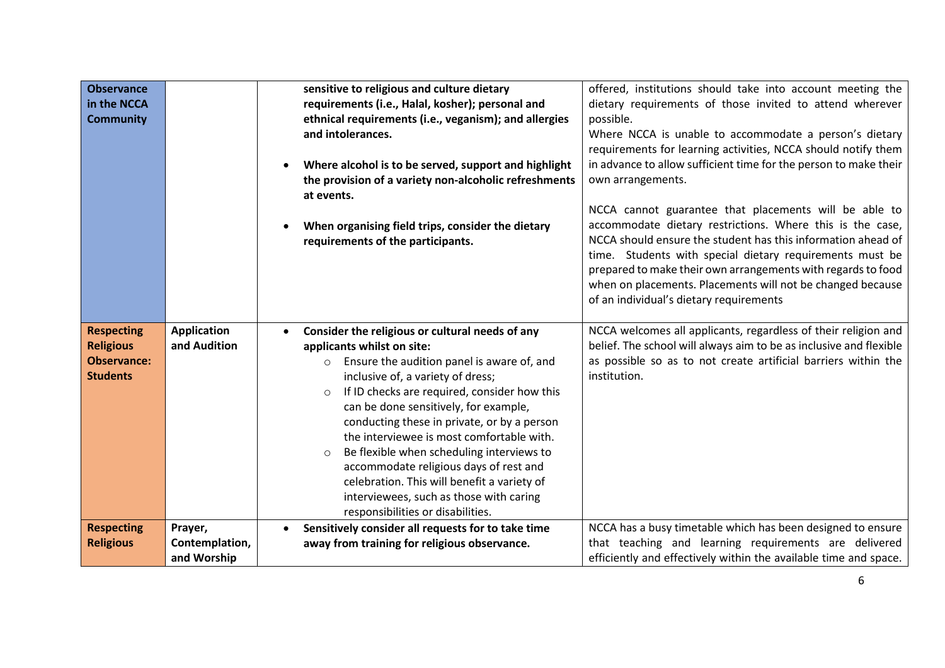| <b>Observance</b><br>in the NCCA<br><b>Community</b>                           |                                    | sensitive to religious and culture dietary<br>requirements (i.e., Halal, kosher); personal and<br>ethnical requirements (i.e., veganism); and allergies<br>and intolerances.<br>Where alcohol is to be served, support and highlight<br>the provision of a variety non-alcoholic refreshments<br>at events.<br>When organising field trips, consider the dietary<br>requirements of the participants.                                                                                                                                                                                                                     | offered, institutions should take into account meeting the<br>dietary requirements of those invited to attend wherever<br>possible.<br>Where NCCA is unable to accommodate a person's dietary<br>requirements for learning activities, NCCA should notify them<br>in advance to allow sufficient time for the person to make their<br>own arrangements.<br>NCCA cannot guarantee that placements will be able to<br>accommodate dietary restrictions. Where this is the case,<br>NCCA should ensure the student has this information ahead of<br>time. Students with special dietary requirements must be<br>prepared to make their own arrangements with regards to food |
|--------------------------------------------------------------------------------|------------------------------------|---------------------------------------------------------------------------------------------------------------------------------------------------------------------------------------------------------------------------------------------------------------------------------------------------------------------------------------------------------------------------------------------------------------------------------------------------------------------------------------------------------------------------------------------------------------------------------------------------------------------------|---------------------------------------------------------------------------------------------------------------------------------------------------------------------------------------------------------------------------------------------------------------------------------------------------------------------------------------------------------------------------------------------------------------------------------------------------------------------------------------------------------------------------------------------------------------------------------------------------------------------------------------------------------------------------|
|                                                                                |                                    |                                                                                                                                                                                                                                                                                                                                                                                                                                                                                                                                                                                                                           | when on placements. Placements will not be changed because<br>of an individual's dietary requirements                                                                                                                                                                                                                                                                                                                                                                                                                                                                                                                                                                     |
| <b>Respecting</b><br><b>Religious</b><br><b>Observance:</b><br><b>Students</b> | <b>Application</b><br>and Audition | Consider the religious or cultural needs of any<br>$\bullet$<br>applicants whilst on site:<br>Ensure the audition panel is aware of, and<br>$\circ$<br>inclusive of, a variety of dress;<br>If ID checks are required, consider how this<br>$\circ$<br>can be done sensitively, for example,<br>conducting these in private, or by a person<br>the interviewee is most comfortable with.<br>Be flexible when scheduling interviews to<br>$\circ$<br>accommodate religious days of rest and<br>celebration. This will benefit a variety of<br>interviewees, such as those with caring<br>responsibilities or disabilities. | NCCA welcomes all applicants, regardless of their religion and<br>belief. The school will always aim to be as inclusive and flexible<br>as possible so as to not create artificial barriers within the<br>institution.                                                                                                                                                                                                                                                                                                                                                                                                                                                    |
| <b>Respecting</b>                                                              | Prayer,                            | Sensitively consider all requests for to take time<br>$\bullet$                                                                                                                                                                                                                                                                                                                                                                                                                                                                                                                                                           | NCCA has a busy timetable which has been designed to ensure                                                                                                                                                                                                                                                                                                                                                                                                                                                                                                                                                                                                               |
| <b>Religious</b>                                                               | Contemplation,                     | away from training for religious observance.                                                                                                                                                                                                                                                                                                                                                                                                                                                                                                                                                                              | that teaching and learning requirements are delivered                                                                                                                                                                                                                                                                                                                                                                                                                                                                                                                                                                                                                     |
|                                                                                | and Worship                        |                                                                                                                                                                                                                                                                                                                                                                                                                                                                                                                                                                                                                           | efficiently and effectively within the available time and space.                                                                                                                                                                                                                                                                                                                                                                                                                                                                                                                                                                                                          |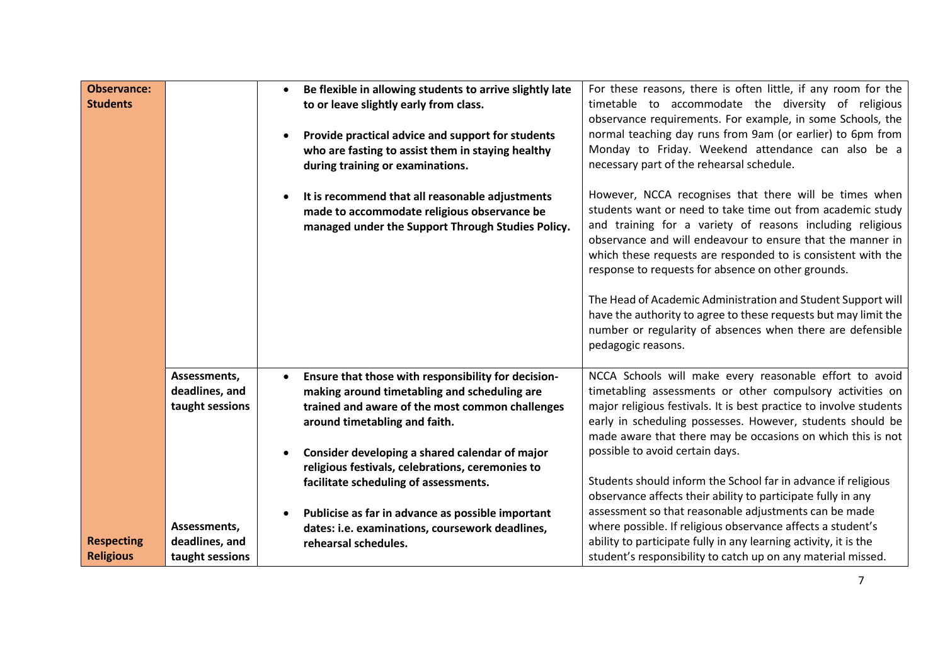| <b>Observance:</b><br><b>Students</b> |                                                   | Be flexible in allowing students to arrive slightly late<br>to or leave slightly early from class.<br>Provide practical advice and support for students<br>who are fasting to assist them in staying healthy<br>during training or examinations.<br>It is recommend that all reasonable adjustments<br>made to accommodate religious observance be<br>managed under the Support Through Studies Policy. | For these reasons, there is often little, if any room for the<br>timetable to accommodate the diversity of religious<br>observance requirements. For example, in some Schools, the<br>normal teaching day runs from 9am (or earlier) to 6pm from<br>Monday to Friday. Weekend attendance can also be a<br>necessary part of the rehearsal schedule.<br>However, NCCA recognises that there will be times when<br>students want or need to take time out from academic study<br>and training for a variety of reasons including religious<br>observance and will endeavour to ensure that the manner in<br>which these requests are responded to is consistent with the<br>response to requests for absence on other grounds.<br>The Head of Academic Administration and Student Support will |
|---------------------------------------|---------------------------------------------------|---------------------------------------------------------------------------------------------------------------------------------------------------------------------------------------------------------------------------------------------------------------------------------------------------------------------------------------------------------------------------------------------------------|----------------------------------------------------------------------------------------------------------------------------------------------------------------------------------------------------------------------------------------------------------------------------------------------------------------------------------------------------------------------------------------------------------------------------------------------------------------------------------------------------------------------------------------------------------------------------------------------------------------------------------------------------------------------------------------------------------------------------------------------------------------------------------------------|
|                                       |                                                   |                                                                                                                                                                                                                                                                                                                                                                                                         | have the authority to agree to these requests but may limit the<br>number or regularity of absences when there are defensible<br>pedagogic reasons.                                                                                                                                                                                                                                                                                                                                                                                                                                                                                                                                                                                                                                          |
|                                       | Assessments,<br>deadlines, and<br>taught sessions | Ensure that those with responsibility for decision-<br>making around timetabling and scheduling are<br>trained and aware of the most common challenges<br>around timetabling and faith.<br>Consider developing a shared calendar of major                                                                                                                                                               | NCCA Schools will make every reasonable effort to avoid<br>timetabling assessments or other compulsory activities on<br>major religious festivals. It is best practice to involve students<br>early in scheduling possesses. However, students should be<br>made aware that there may be occasions on which this is not<br>possible to avoid certain days.                                                                                                                                                                                                                                                                                                                                                                                                                                   |
|                                       |                                                   | religious festivals, celebrations, ceremonies to<br>facilitate scheduling of assessments.                                                                                                                                                                                                                                                                                                               | Students should inform the School far in advance if religious<br>observance affects their ability to participate fully in any                                                                                                                                                                                                                                                                                                                                                                                                                                                                                                                                                                                                                                                                |
| <b>Respecting</b><br><b>Religious</b> | Assessments,<br>deadlines, and<br>taught sessions | Publicise as far in advance as possible important<br>$\bullet$<br>dates: i.e. examinations, coursework deadlines,<br>rehearsal schedules.                                                                                                                                                                                                                                                               | assessment so that reasonable adjustments can be made<br>where possible. If religious observance affects a student's<br>ability to participate fully in any learning activity, it is the<br>student's responsibility to catch up on any material missed.                                                                                                                                                                                                                                                                                                                                                                                                                                                                                                                                     |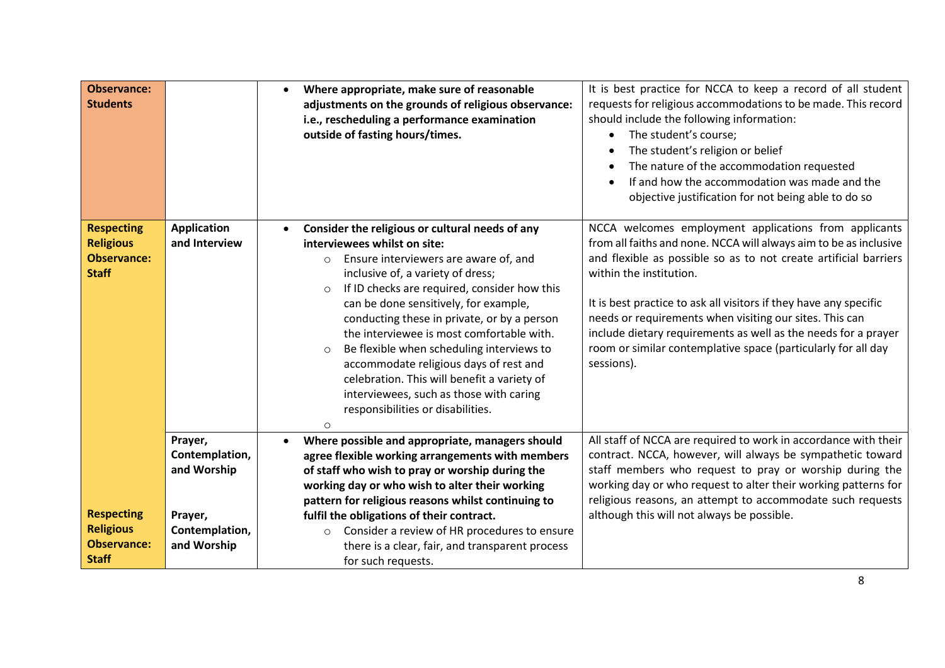| should include the following information:<br>The student's course;<br>$\bullet$<br>The student's religion or belief<br>The nature of the accommodation requested<br>If and how the accommodation was made and the<br>objective justification for not being able to do so                                                                                                                                                                                                                                   |
|------------------------------------------------------------------------------------------------------------------------------------------------------------------------------------------------------------------------------------------------------------------------------------------------------------------------------------------------------------------------------------------------------------------------------------------------------------------------------------------------------------|
| NCCA welcomes employment applications from applicants<br>from all faiths and none. NCCA will always aim to be as inclusive<br>and flexible as possible so as to not create artificial barriers<br>within the institution.<br>It is best practice to ask all visitors if they have any specific<br>needs or requirements when visiting our sites. This can<br>include dietary requirements as well as the needs for a prayer<br>room or similar contemplative space (particularly for all day<br>sessions). |
| All staff of NCCA are required to work in accordance with their<br>contract. NCCA, however, will always be sympathetic toward<br>staff members who request to pray or worship during the<br>working day or who request to alter their working patterns for<br>religious reasons, an attempt to accommodate such requests<br>although this will not always be possible.                                                                                                                                     |
|                                                                                                                                                                                                                                                                                                                                                                                                                                                                                                            |